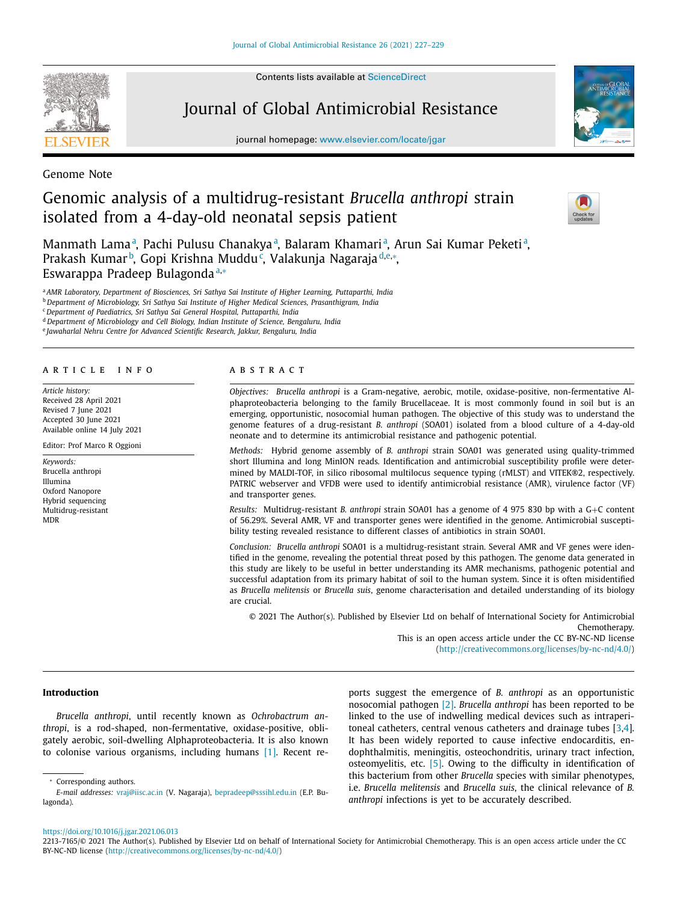Contents lists available at [ScienceDirect](http://www.ScienceDirect.com)



Journal of Global Antimicrobial Resistance

journal homepage: [www.elsevier.com/locate/jgar](http://www.elsevier.com/locate/jgar)



Genome Note

# Genomic analysis of a multidrug-resistant *Brucella anthropi* strain isolated from a 4-day-old neonatal sepsis patient



Manmath Lama<sup>a</sup>, Pachi Pulusu Chanakya<sup>a</sup>, Balaram Khamari<sup>a</sup>, Arun Sai Kumar Peketi<sup>a</sup>, Prakash Kumar<sup>b</sup>, Gopi Krishna Muddu¢, Valakunja Nagaraja<sup>d,e,</sup>\*, Eswarappa Pradeep Bulagonda<sup>a,\*</sup>

<sup>a</sup> *AMR Laboratory, Department of Biosciences, Sri Sathya Sai Institute of Higher Learning, Puttaparthi, India*

<sup>b</sup> *Department of Microbiology, Sri Sathya Sai Institute of Higher Medical Sciences, Prasanthigram, India*

<sup>c</sup> *Department of Paediatrics, Sri Sathya Sai General Hospital, Puttaparthi, India*

<sup>d</sup> *Department of Microbiology and Cell Biology, Indian Institute of Science, Bengaluru, India*

<sup>e</sup> *Jawaharlal Nehru Centre for Advanced Scientific Research, Jakkur, Bengaluru, India*

#### a r t i c l e i n f o

*Article history:* Received 28 April 2021 Revised 7 June 2021 Accepted 30 June 2021 Available online 14 July 2021

Editor: Prof Marco R Oggioni

*Keywords:* Brucella anthropi Illumina Oxford Nanopore Hybrid sequencing Multidrug-resistant MDR

# a b s t r a c t

*Objectives: Brucella anthropi* is a Gram-negative, aerobic, motile, oxidase-positive, non-fermentative Alphaproteobacteria belonging to the family Brucellaceae. It is most commonly found in soil but is an emerging, opportunistic, nosocomial human pathogen. The objective of this study was to understand the genome features of a drug-resistant *B. anthropi* (SOA01) isolated from a blood culture of a 4-day-old neonate and to determine its antimicrobial resistance and pathogenic potential.

*Methods:* Hybrid genome assembly of *B. anthropi* strain SOA01 was generated using quality-trimmed short Illumina and long MinION reads*.* Identification and antimicrobial susceptibility profile were determined by MALDI-TOF, in silico ribosomal multilocus sequence typing (rMLST) and VITEK®2, respectively. PATRIC webserver and VFDB were used to identify antimicrobial resistance (AMR), virulence factor (VF) and transporter genes.

*Results:* Multidrug-resistant *B. anthropi* strain SOA01 has a genome of 4 975 830 bp with a G+C content of 56.29%. Several AMR, VF and transporter genes were identified in the genome. Antimicrobial susceptibility testing revealed resistance to different classes of antibiotics in strain SOA01.

*Conclusion: Brucella anthropi* SOA01 is a multidrug-resistant strain. Several AMR and VF genes were identified in the genome, revealing the potential threat posed by this pathogen. The genome data generated in this study are likely to be useful in better understanding its AMR mechanisms, pathogenic potential and successful adaptation from its primary habitat of soil to the human system. Since it is often misidentified as *Brucella melitensis* or *Brucella suis*, genome characterisation and detailed understanding of its biology are crucial.

© 2021 The Author(s). Published by Elsevier Ltd on behalf of International Society for Antimicrobial Chemotherapy. This is an open access article under the CC BY-NC-ND license

[\(http://creativecommons.org/licenses/by-nc-nd/4.0/\)](http://creativecommons.org/licenses/by-nc-nd/4.0/)

#### **Introduction**

*Brucella anthropi*, until recently known as *Ochrobactrum anthropi*, is a rod-shaped, non-fermentative, oxidase-positive, obligately aerobic, soil-dwelling Alphaproteobacteria. It is also known to colonise various organisms, including humans [\[1\].](#page-2-0) Recent reports suggest the emergence of *B. anthropi* as an opportunistic nosocomial pathogen [\[2\].](#page-2-0) *Brucella anthropi* has been reported to be linked to the use of indwelling medical devices such as intraperitoneal catheters, central venous catheters and drainage tubes [\[3,4\]](#page-2-0). It has been widely reported to cause infective endocarditis, endophthalmitis, meningitis, osteochondritis, urinary tract infection, osteomyelitis, etc. [\[5\].](#page-2-0) Owing to the difficulty in identification of this bacterium from other *Brucella* species with similar phenotypes, i.e. *Brucella melitensis* and *Brucella suis*, the clinical relevance of *B. anthropi* infections is yet to be accurately described.

<https://doi.org/10.1016/j.jgar.2021.06.013>

<sup>∗</sup> Corresponding authors.

*E-mail addresses:* [vraj@iisc.ac.in](mailto:vraj@iisc.ac.in) (V. Nagaraja), [bepradeep@sssihl.edu.in](mailto:bepradeep@sssihl.edu.in) (E.P. Bulagonda).

<sup>2213-7165/© 2021</sup> The Author(s). Published by Elsevier Ltd on behalf of International Society for Antimicrobial Chemotherapy. This is an open access article under the CC BY-NC-ND license [\(http://creativecommons.org/licenses/by-nc-nd/4.0/\)](http://creativecommons.org/licenses/by-nc-nd/4.0/)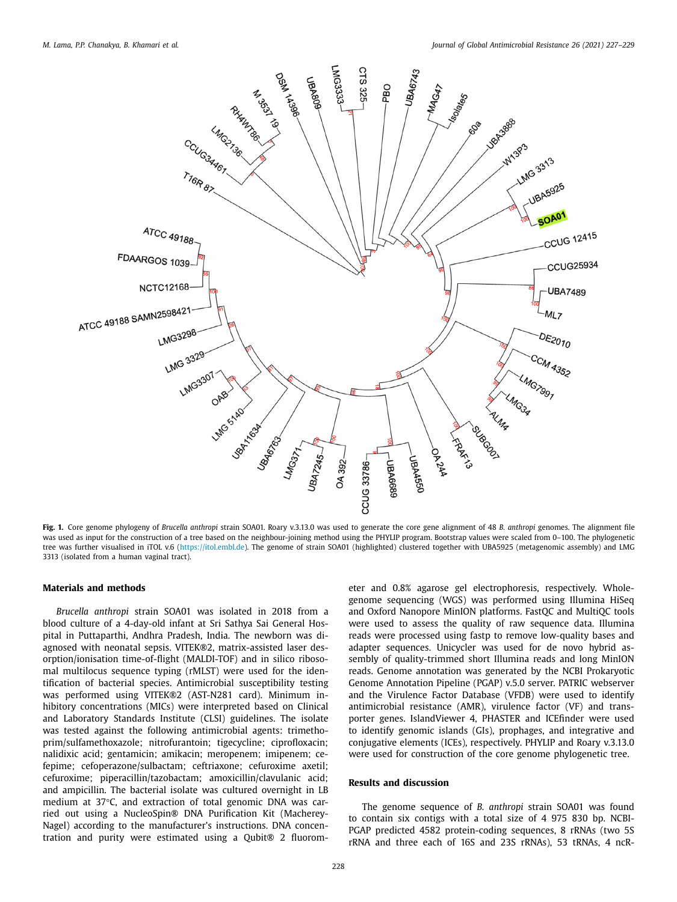<span id="page-1-0"></span>

**Fig. 1.** Core genome phylogeny of *Brucella anthropi* strain SOA01. Roary v.3.13.0 was used to generate the core gene alignment of 48 *B. anthropi* genomes. The alignment file was used as input for the construction of a tree based on the neighbour-joining method using the PHYLIP program. Bootstrap values were scaled from 0-100. The phylogenetic tree was further visualised in iTOL v.6 [\(https://itol.embl.de\)](https://itol.embl.de). The genome of strain SOA01 (highlighted) clustered together with UBA5925 (metagenomic assembly) and LMG 3313 (isolated from a human vaginal tract).

## **Materials and methods**

*Brucella anthropi* strain SOA01 was isolated in 2018 from a blood culture of a 4-day-old infant at Sri Sathya Sai General Hospital in Puttaparthi, Andhra Pradesh, India. The newborn was diagnosed with neonatal sepsis. VITEK®2, matrix-assisted laser desorption/ionisation time-of-flight (MALDI-TOF) and in silico ribosomal multilocus sequence typing (rMLST) were used for the identification of bacterial species. Antimicrobial susceptibility testing was performed using VITEK®2 (AST-N281 card). Minimum inhibitory concentrations (MICs) were interpreted based on Clinical and Laboratory Standards Institute (CLSI) guidelines. The isolate was tested against the following antimicrobial agents: trimethoprim/sulfamethoxazole; nitrofurantoin; tigecycline; ciprofloxacin; nalidixic acid; gentamicin; amikacin; meropenem; imipenem; cefepime; cefoperazone/sulbactam; ceftriaxone; cefuroxime axetil; cefuroxime; piperacillin/tazobactam; amoxicillin/clavulanic acid; and ampicillin. The bacterial isolate was cultured overnight in LB medium at 37°C, and extraction of total genomic DNA was carried out using a NucleoSpin® DNA Purification Kit (Macherey-Nagel) according to the manufacturer's instructions. DNA concentration and purity were estimated using a Qubit® 2 fluorometer and 0.8% agarose gel electrophoresis, respectively. Wholegenome sequencing (WGS) was performed using Illumina HiSeq and Oxford Nanopore MinION platforms. FastQC and MultiQC tools were used to assess the quality of raw sequence data. Illumina reads were processed using fastp to remove low-quality bases and adapter sequences. Unicycler was used for de novo hybrid assembly of quality-trimmed short Illumina reads and long MinION reads. Genome annotation was generated by the NCBI Prokaryotic Genome Annotation Pipeline (PGAP) v.5.0 server. PATRIC webserver and the Virulence Factor Database (VFDB) were used to identify antimicrobial resistance (AMR), virulence factor (VF) and transporter genes. IslandViewer 4, PHASTER and ICEfinder were used to identify genomic islands (GIs), prophages, and integrative and conjugative elements (ICEs), respectively. PHYLIP and Roary v.3.13.0 were used for construction of the core genome phylogenetic tree.

### **Results and discussion**

The genome sequence of *B. anthropi* strain SOA01 was found to contain six contigs with a total size of 4 975 830 bp. NCBI-PGAP predicted 4582 protein-coding sequences, 8 rRNAs (two 5S rRNA and three each of 16S and 23S rRNAs), 53 tRNAs, 4 ncR-